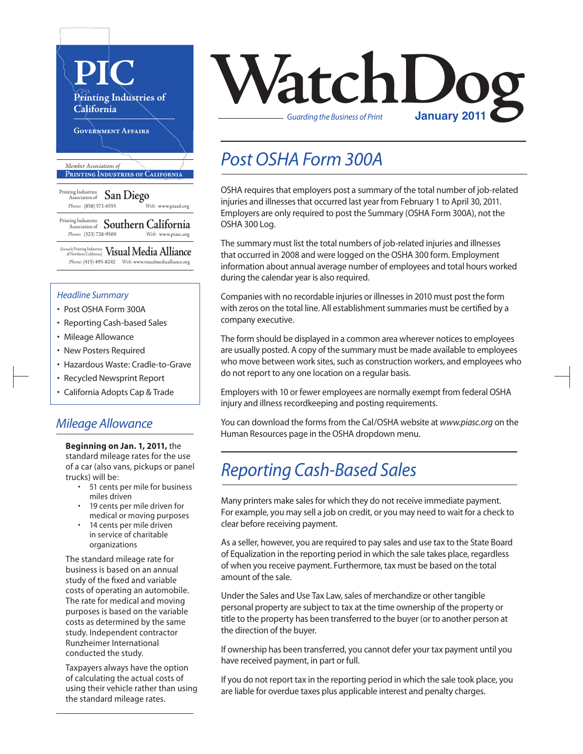

#### *Headline Summary*

- Post OSHA Form 300A
- Reporting Cash-based Sales
- Mileage Allowance
- New Posters Required
- Hazardous Waste: Cradle-to-Grave
- Recycled Newsprint Report
- California Adopts Cap & Trade

#### *Mileage Allowance*

**Beginning on Jan. 1, 2011,** the standard mileage rates for the use of a car (also vans, pickups or panel trucks) will be:

- • 51 cents per mile for business miles driven
- 19 cents per mile driven for medical or moving purposes
- 14 cents per mile driven in service of charitable organizations

The standard mileage rate for business is based on an annual study of the fixed and variable costs of operating an automobile. The rate for medical and moving purposes is based on the variable costs as determined by the same study. Independent contractor Runzheimer International conducted the study.

Taxpayers always have the option of calculating the actual costs of using their vehicle rather than using the standard mileage rates.

# **VatchLoo** *Guarding the Business of Print*

### *Post OSHA Form 300A*

OSHA requires that employers post a summary of the total number of job-related injuries and illnesses that occurred last year from February 1 to April 30, 2011. Employers are only required to post the Summary (OSHA Form 300A), not the OSHA 300 Log.

The summary must list the total numbers of job-related injuries and illnesses that occurred in 2008 and were logged on the OSHA 300 form. Employment information about annual average number of employees and total hours worked during the calendar year is also required.

Companies with no recordable injuries or illnessesin 2010 must post the form with zeros on the total line. All establishment summaries must be certified by a company executive.

The form should be displayed in a common area wherever notices to employees are usually posted. A copy of the summary must be made available to employees who move between work sites, such as construction workers, and employees who do not report to any one location on a regular basis.

Employers with 10 or fewer employees are normally exempt from federal OSHA injury and illness recordkeeping and posting requirements.

You can download the forms from the Cal/OSHA website at *www.piasc.org* on the Human Resources page in the OSHA dropdown menu.

## *Reporting Cash-Based Sales*

Many printers make sales for which they do not receive immediate payment. For example, you may sell a job on credit, or you may need to wait for a check to clear before receiving payment.

As a seller, however, you are required to pay sales and use tax to the State Board of Equalization in the reporting period in which the sale takes place, regardless of when you receive payment. Furthermore, tax must be based on the total amount of the sale.

Under the Sales and Use Tax Law, sales of merchandize or other tangible personal property are subject to tax at the time ownership of the property or title to the property has been transferred to the buyer (or to another person at the direction of the buyer.

If ownership has been transferred, you cannot defer your tax payment until you have received payment, in part or full.

If you do not report tax in the reporting period in which the sale took place, you are liable for overdue taxes plus applicable interest and penalty charges.